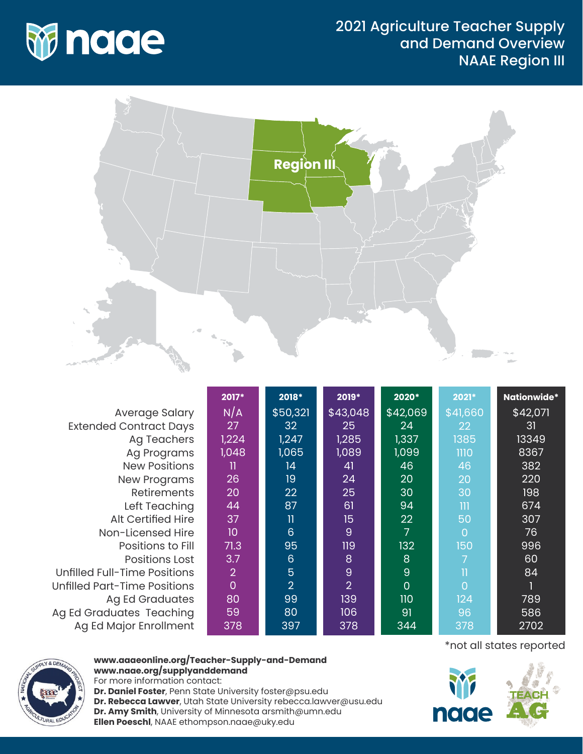



|                               | 2017*          | 2018*                   | 2019*          | 2020*    | 2021*        | <b>Nationwide*</b> |
|-------------------------------|----------------|-------------------------|----------------|----------|--------------|--------------------|
| Average Salary                | N/A            | \$50,321                | \$43,048       | \$42,069 | \$41,660     | \$42,071           |
| <b>Extended Contract Days</b> | 27             | 32                      | 25             | 24       | 22           | 31                 |
| <b>Ag Teachers</b>            | 1,224          | 1,247                   | 1,285          | 1,337    | 1385         | 13349              |
| Ag Programs                   | 1,048          | 1,065                   | 1,089          | 1,099    | 1110         | 8367               |
| <b>New Positions</b>          | 11             | 14                      | 41             | 46       | 46           | 382                |
| <b>New Programs</b>           | 26             | 19                      | 24             | 20       | 20           | 220                |
| <b>Retirements</b>            | 20             | 22                      | 25             | 30       | 30           | 198                |
| Left Teaching                 | 44             | 87                      | 61             | 94       | 111          | 674                |
| <b>Alt Certified Hire</b>     | 37             | $\overline{\mathbf{u}}$ | 15             | 22       | 50           | 307                |
| Non-Licensed Hire             | 10             | $6\phantom{1}6$         | 9              | 7        | $\Omega$     | 76                 |
| Positions to Fill             | 71.3           | 95                      | 119            | 132      | 150          | 996                |
| <b>Positions Lost</b>         | 3.7            | $6\phantom{1}6$         | 8              | 8        | 7            | 60                 |
| Unfilled Full-Time Positions  | $\overline{2}$ | $\overline{5}$          | 9              | 9        | $\mathbf{I}$ | 84                 |
| Unfilled Part-Time Positions  | $\overline{0}$ | $\overline{2}$          | $\overline{2}$ | 0        | $\Omega$     |                    |
| Ag Ed Graduates               | 80             | 99                      | 139            | 110      | 124          | 789                |
| Ag Ed Graduates Teaching      | 59             | 80                      | 106            | 91       | 96           | 586                |
| Ag Ed Major Enrollment        | 378            | 397                     | 378            | 344      | 378          | 2702               |



## **www.aaaeonline.org/Teacher-Supply-and-Demand www.naae.org/supplyanddemand**

For more information contact: **Dr. Daniel Foster**, Penn State University foster@psu.edu **Dr. Rebecca Lawver**, Utah State University rebecca.lawver@usu.edu **Dr. Amy Smith**, University of Minnesota arsmith@umn.edu **Ellen Poeschl**, NAAE ethompson.naae@uky.edu

\*not all states reported